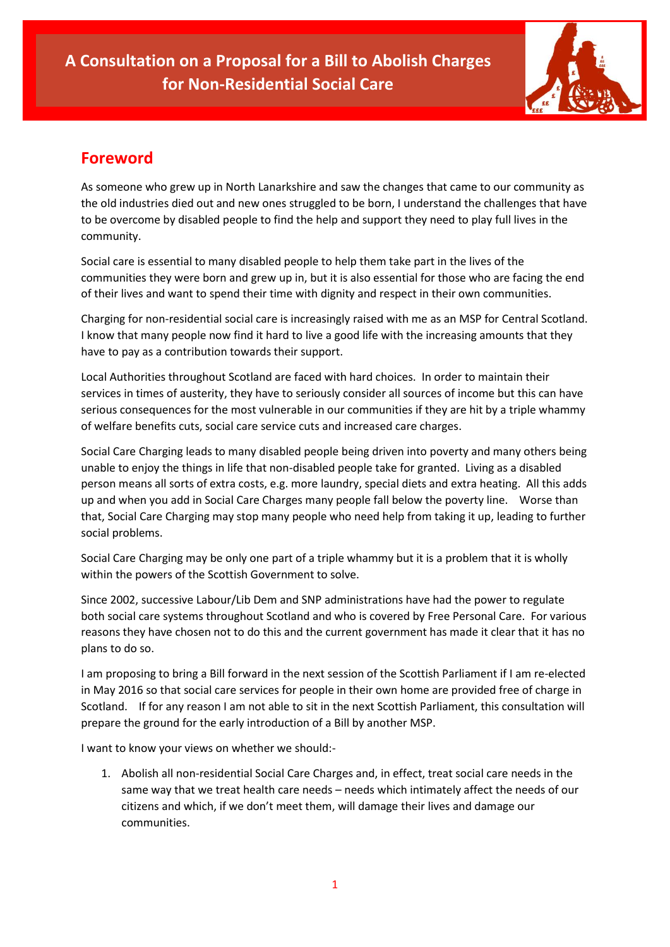

# **Foreword**

As someone who grew up in North Lanarkshire and saw the changes that came to our community as the old industries died out and new ones struggled to be born, I understand the challenges that have to be overcome by disabled people to find the help and support they need to play full lives in the community.

Social care is essential to many disabled people to help them take part in the lives of the communities they were born and grew up in, but it is also essential for those who are facing the end of their lives and want to spend their time with dignity and respect in their own communities.

Charging for non-residential social care is increasingly raised with me as an MSP for Central Scotland. I know that many people now find it hard to live a good life with the increasing amounts that they have to pay as a contribution towards their support.

Local Authorities throughout Scotland are faced with hard choices. In order to maintain their services in times of austerity, they have to seriously consider all sources of income but this can have serious consequences for the most vulnerable in our communities if they are hit by a triple whammy of welfare benefits cuts, social care service cuts and increased care charges.

Social Care Charging leads to many disabled people being driven into poverty and many others being unable to enjoy the things in life that non-disabled people take for granted. Living as a disabled person means all sorts of extra costs, e.g. more laundry, special diets and extra heating. All this adds up and when you add in Social Care Charges many people fall below the poverty line. Worse than that, Social Care Charging may stop many people who need help from taking it up, leading to further social problems.

Social Care Charging may be only one part of a triple whammy but it is a problem that it is wholly within the powers of the Scottish Government to solve.

Since 2002, successive Labour/Lib Dem and SNP administrations have had the power to regulate both social care systems throughout Scotland and who is covered by Free Personal Care. For various reasons they have chosen not to do this and the current government has made it clear that it has no plans to do so.

I am proposing to bring a Bill forward in the next session of the Scottish Parliament if I am re-elected in May 2016 so that social care services for people in their own home are provided free of charge in Scotland. If for any reason I am not able to sit in the next Scottish Parliament, this consultation will prepare the ground for the early introduction of a Bill by another MSP.

I want to know your views on whether we should:-

1. Abolish all non-residential Social Care Charges and, in effect, treat social care needs in the same way that we treat health care needs – needs which intimately affect the needs of our citizens and which, if we don't meet them, will damage their lives and damage our communities.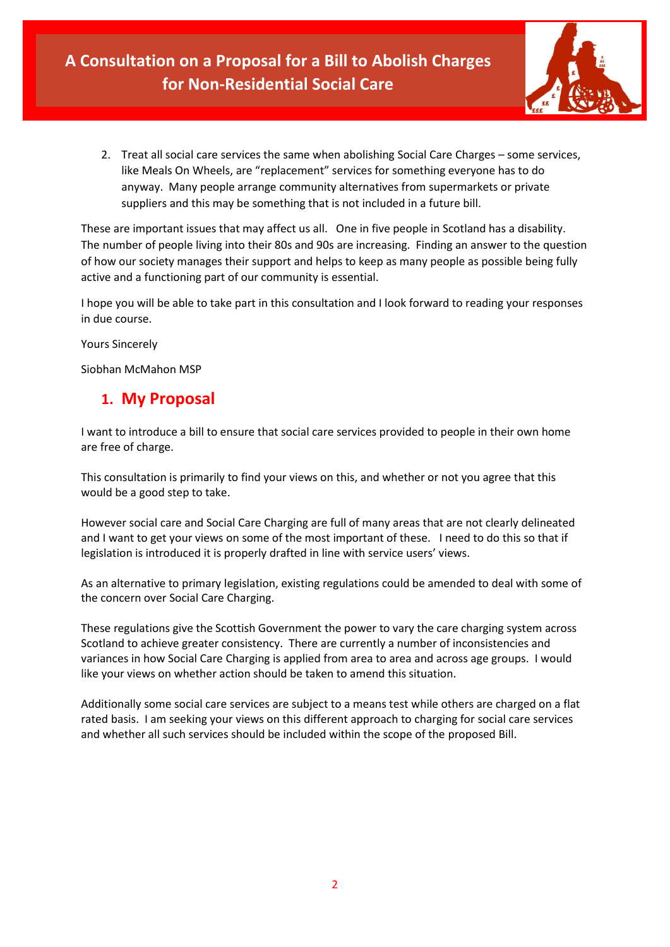

2. Treat all social care services the same when abolishing Social Care Charges – some services, like Meals On Wheels, are "replacement" services for something everyone has to do anyway. Many people arrange community alternatives from supermarkets or private suppliers and this may be something that is not included in a future bill.

These are important issues that may affect us all. One in five people in Scotland has a disability. The number of people living into their 80s and 90s are increasing. Finding an answer to the question of how our society manages their support and helps to keep as many people as possible being fully active and a functioning part of our community is essential.

I hope you will be able to take part in this consultation and I look forward to reading your responses in due course.

Yours Sincerely

Siobhan McMahon MSP

# **1. My Proposal**

I want to introduce a bill to ensure that social care services provided to people in their own home are free of charge.

This consultation is primarily to find your views on this, and whether or not you agree that this would be a good step to take.

However social care and Social Care Charging are full of many areas that are not clearly delineated and I want to get your views on some of the most important of these. I need to do this so that if legislation is introduced it is properly drafted in line with service users' views.

As an alternative to primary legislation, existing regulations could be amended to deal with some of the concern over Social Care Charging.

These regulations give the Scottish Government the power to vary the care charging system across Scotland to achieve greater consistency. There are currently a number of inconsistencies and variances in how Social Care Charging is applied from area to area and across age groups. I would like your views on whether action should be taken to amend this situation.

Additionally some social care services are subject to a means test while others are charged on a flat rated basis. I am seeking your views on this different approach to charging for social care services and whether all such services should be included within the scope of the proposed Bill.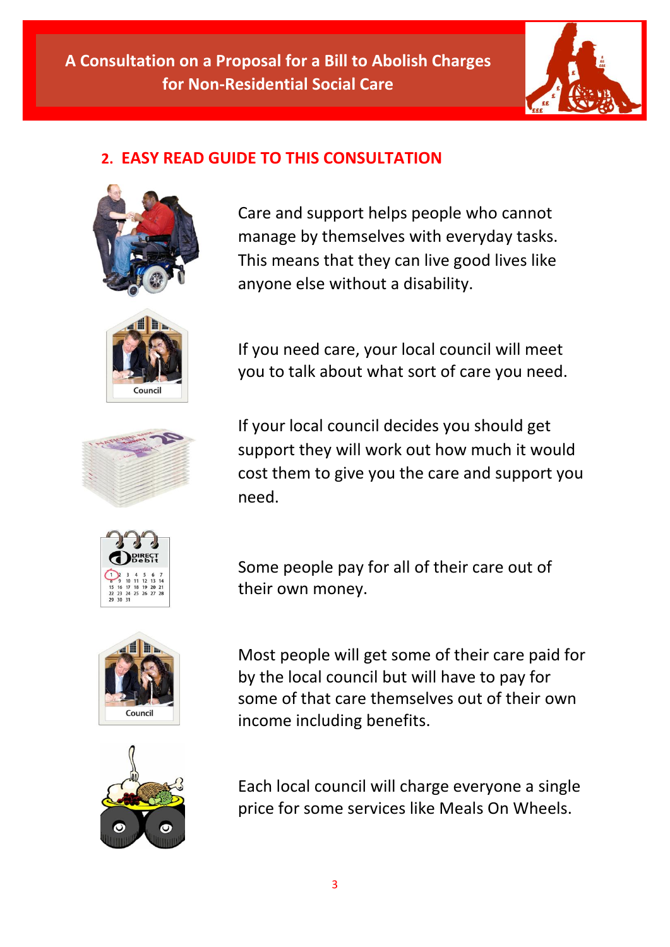

# **2. EASY READ GUIDE TO THIS CONSULTATION**



Care and support helps people who cannot manage by themselves with everyday tasks. This means that they can live good lives like anyone else without a disability.



If you need care, your local council will meet you to talk about what sort of care you need.



If your local council decides you should get support they will work out how much it would cost them to give you the care and support you need.



Some people pay for all of their care out of their own money.



Most people will get some of their care paid for by the local council but will have to pay for some of that care themselves out of their own income including benefits.

Each local council will charge everyone a single price for some services like Meals On Wheels.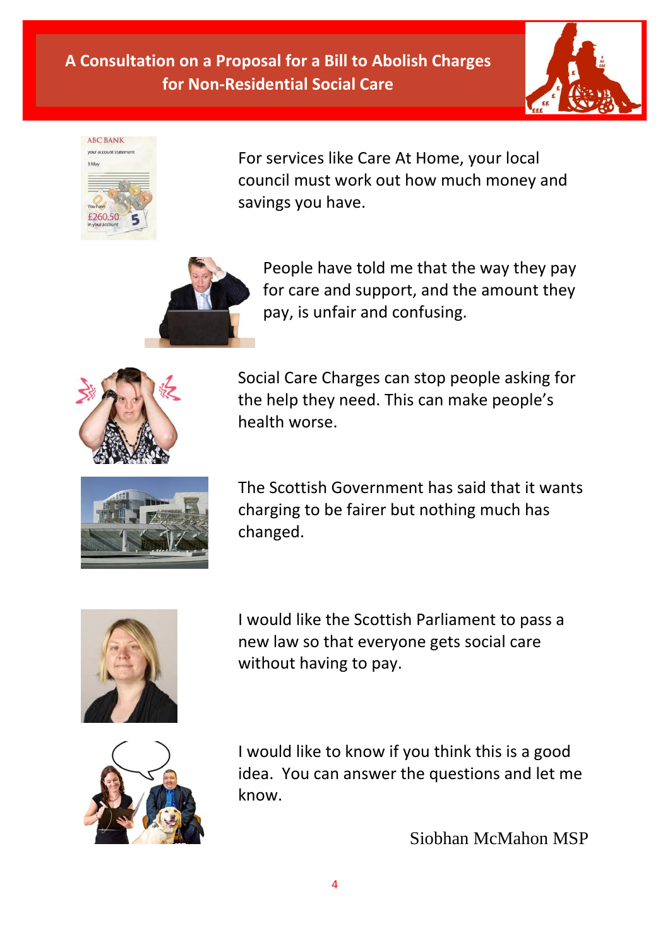



For services like Care At Home, your local council must work out how much money and savings you have.



People have told me that the way they pay for care and support, and the amount they pay, is unfair and confusing.



Social Care Charges can stop people asking for the help they need. This can make people's health worse.



The Scottish Government has said that it wants charging to be fairer but nothing much has changed.



I would like the Scottish Parliament to pass a new law so that everyone gets social care without having to pay.



I would like to know if you think this is a good idea. You can answer the questions and let me know.

Siobhan McMahon MSP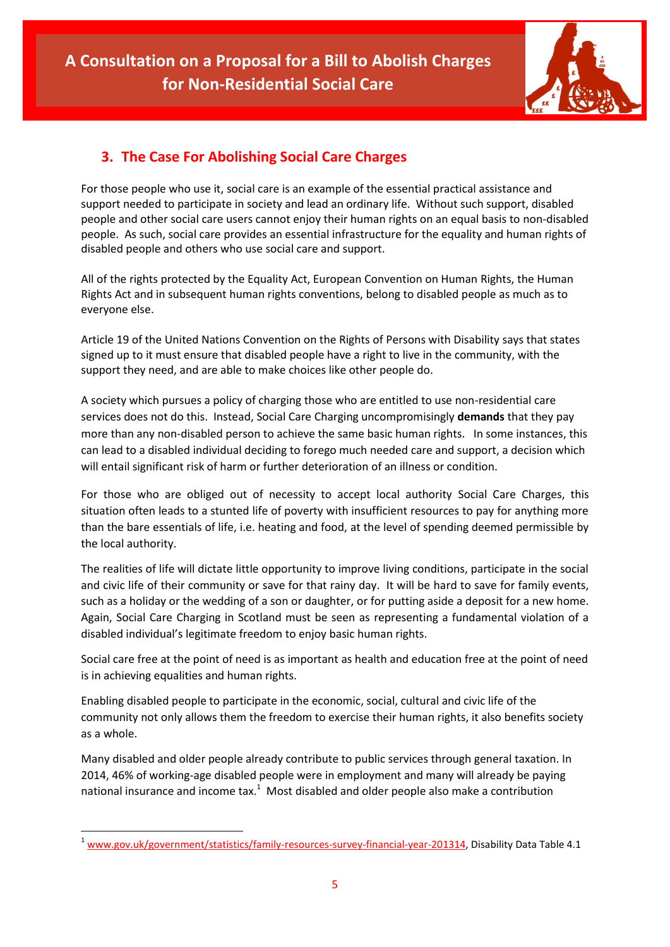

# **3. The Case For Abolishing Social Care Charges**

For those people who use it, social care is an example of the essential practical assistance and support needed to participate in society and lead an ordinary life. Without such support, disabled people and other social care users cannot enjoy their human rights on an equal basis to non-disabled people. As such, social care provides an essential infrastructure for the equality and human rights of disabled people and others who use social care and support.

All of the rights protected by the Equality Act, European Convention on Human Rights, the Human Rights Act and in subsequent human rights conventions, belong to disabled people as much as to everyone else.

Article 19 of the United Nations Convention on the Rights of Persons with Disability says that states signed up to it must ensure that disabled people have a right to live in the community, with the support they need, and are able to make choices like other people do.

A society which pursues a policy of charging those who are entitled to use non-residential care services does not do this. Instead, Social Care Charging uncompromisingly **demands** that they pay more than any non-disabled person to achieve the same basic human rights. In some instances, this can lead to a disabled individual deciding to forego much needed care and support, a decision which will entail significant risk of harm or further deterioration of an illness or condition.

For those who are obliged out of necessity to accept local authority Social Care Charges, this situation often leads to a stunted life of poverty with insufficient resources to pay for anything more than the bare essentials of life, i.e. heating and food, at the level of spending deemed permissible by the local authority.

The realities of life will dictate little opportunity to improve living conditions, participate in the social and civic life of their community or save for that rainy day. It will be hard to save for family events, such as a holiday or the wedding of a son or daughter, or for putting aside a deposit for a new home. Again, Social Care Charging in Scotland must be seen as representing a fundamental violation of a disabled individual's legitimate freedom to enjoy basic human rights.

Social care free at the point of need is as important as health and education free at the point of need is in achieving equalities and human rights.

Enabling disabled people to participate in the economic, social, cultural and civic life of the community not only allows them the freedom to exercise their human rights, it also benefits society as a whole.

Many disabled and older people already contribute to public services through general taxation. In 2014, 46% of working-age disabled people were in employment and many will already be paying national insurance and income  $\text{tax.}^1$  Most disabled and older people also make a contribution

**<sup>.</sup>**  $1$  [www.gov.uk/government/statistics/family-resources-survey-financial-year-201314,](http://www.gov.uk/government/statistics/family-resources-survey-financial-year-201314) Disability Data Table 4.1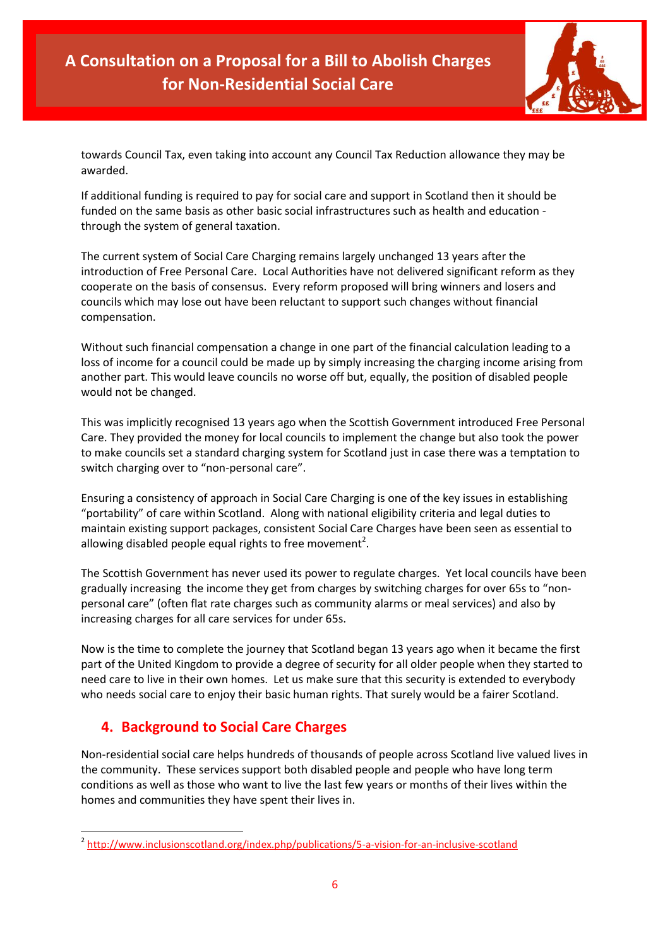

towards Council Tax, even taking into account any Council Tax Reduction allowance they may be awarded.

If additional funding is required to pay for social care and support in Scotland then it should be funded on the same basis as other basic social infrastructures such as health and education through the system of general taxation.

The current system of Social Care Charging remains largely unchanged 13 years after the introduction of Free Personal Care. Local Authorities have not delivered significant reform as they cooperate on the basis of consensus. Every reform proposed will bring winners and losers and councils which may lose out have been reluctant to support such changes without financial compensation.

Without such financial compensation a change in one part of the financial calculation leading to a loss of income for a council could be made up by simply increasing the charging income arising from another part. This would leave councils no worse off but, equally, the position of disabled people would not be changed.

This was implicitly recognised 13 years ago when the Scottish Government introduced Free Personal Care. They provided the money for local councils to implement the change but also took the power to make councils set a standard charging system for Scotland just in case there was a temptation to switch charging over to "non-personal care".

Ensuring a consistency of approach in Social Care Charging is one of the key issues in establishing "portability" of care within Scotland. Along with national eligibility criteria and legal duties to maintain existing support packages, consistent Social Care Charges have been seen as essential to allowing disabled people equal rights to free movement<sup>2</sup>.

The Scottish Government has never used its power to regulate charges. Yet local councils have been gradually increasing the income they get from charges by switching charges for over 65s to "nonpersonal care" (often flat rate charges such as community alarms or meal services) and also by increasing charges for all care services for under 65s.

Now is the time to complete the journey that Scotland began 13 years ago when it became the first part of the United Kingdom to provide a degree of security for all older people when they started to need care to live in their own homes. Let us make sure that this security is extended to everybody who needs social care to enjoy their basic human rights. That surely would be a fairer Scotland.

## **4. Background to Social Care Charges**

**.** 

Non-residential social care helps hundreds of thousands of people across Scotland live valued lives in the community. These services support both disabled people and people who have long term conditions as well as those who want to live the last few years or months of their lives within the homes and communities they have spent their lives in.

<sup>&</sup>lt;sup>2</sup> <http://www.inclusionscotland.org/index.php/publications/5-a-vision-for-an-inclusive-scotland>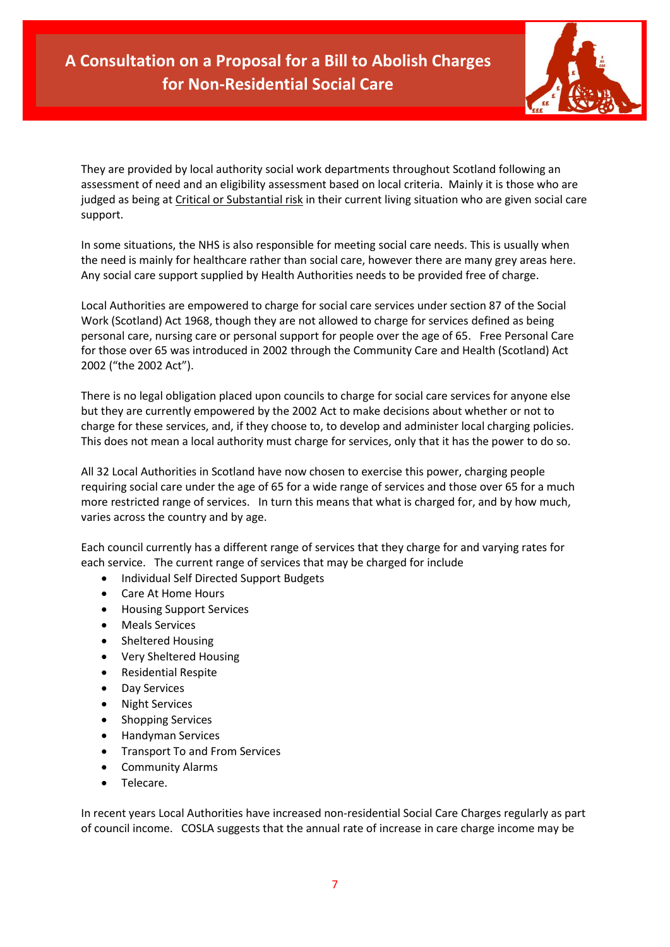

They are provided by local authority social work departments throughout Scotland following an assessment of need and an eligibility assessment based on local criteria. Mainly it is those who are judged as being at Critical or Substantial risk in their current living situation who are given social care support.

In some situations, the NHS is also responsible for meeting social care needs. This is usually when the need is mainly for healthcare rather than social care, however there are many grey areas here. Any social care support supplied by Health Authorities needs to be provided free of charge.

Local Authorities are empowered to charge for social care services under section 87 of the Social Work (Scotland) Act 1968, though they are not allowed to charge for services defined as being personal care, nursing care or personal support for people over the age of 65. Free Personal Care for those over 65 was introduced in 2002 through the Community Care and Health (Scotland) Act 2002 ("the 2002 Act").

There is no legal obligation placed upon councils to charge for social care services for anyone else but they are currently empowered by the 2002 Act to make decisions about whether or not to charge for these services, and, if they choose to, to develop and administer local charging policies. This does not mean a local authority must charge for services, only that it has the power to do so.

All 32 Local Authorities in Scotland have now chosen to exercise this power, charging people requiring social care under the age of 65 for a wide range of services and those over 65 for a much more restricted range of services. In turn this means that what is charged for, and by how much, varies across the country and by age.

Each council currently has a different range of services that they charge for and varying rates for each service. The current range of services that may be charged for include

- Individual Self Directed Support Budgets
- Care At Home Hours
- Housing Support Services
- Meals Services
- Sheltered Housing
- Very Sheltered Housing
- Residential Respite
- Day Services
- Night Services
- Shopping Services
- **•** Handyman Services
- Transport To and From Services
- Community Alarms
- Telecare.

In recent years Local Authorities have increased non-residential Social Care Charges regularly as part of council income. COSLA suggests that the annual rate of increase in care charge income may be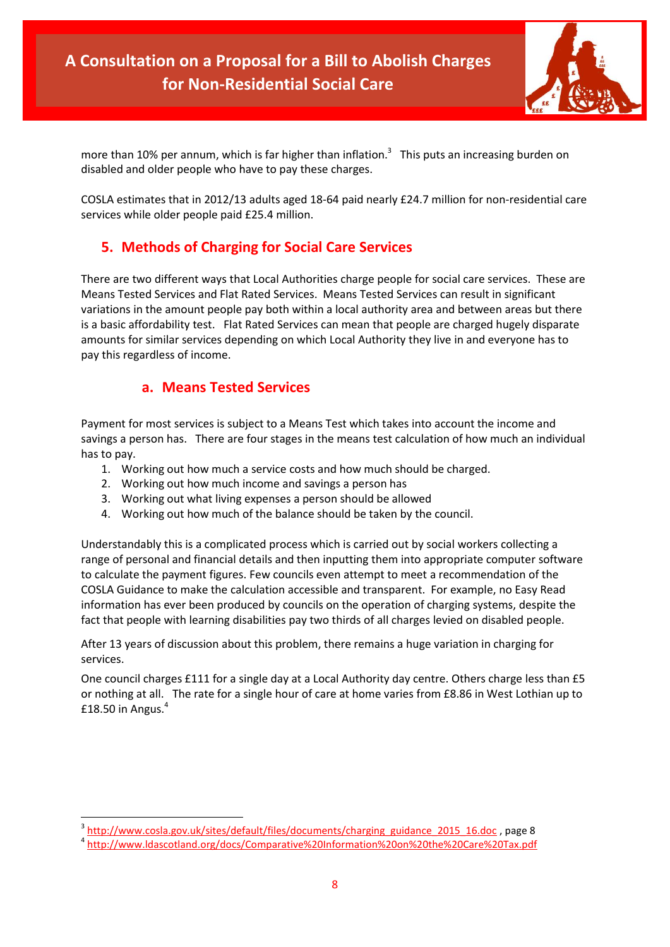

more than 10% per annum, which is far higher than inflation.<sup>3</sup> This puts an increasing burden on disabled and older people who have to pay these charges.

COSLA estimates that in 2012/13 adults aged 18-64 paid nearly £24.7 million for non-residential care services while older people paid £25.4 million.

# **5. Methods of Charging for Social Care Services**

There are two different ways that Local Authorities charge people for social care services. These are Means Tested Services and Flat Rated Services. Means Tested Services can result in significant variations in the amount people pay both within a local authority area and between areas but there is a basic affordability test. Flat Rated Services can mean that people are charged hugely disparate amounts for similar services depending on which Local Authority they live in and everyone has to pay this regardless of income.

### **a. Means Tested Services**

 $\overline{a}$ 

Payment for most services is subject to a Means Test which takes into account the income and savings a person has. There are four stages in the means test calculation of how much an individual has to pay.

- 1. Working out how much a service costs and how much should be charged.
- 2. Working out how much income and savings a person has
- 3. Working out what living expenses a person should be allowed
- 4. Working out how much of the balance should be taken by the council.

Understandably this is a complicated process which is carried out by social workers collecting a range of personal and financial details and then inputting them into appropriate computer software to calculate the payment figures. Few councils even attempt to meet a recommendation of the COSLA Guidance to make the calculation accessible and transparent. For example, no Easy Read information has ever been produced by councils on the operation of charging systems, despite the fact that people with learning disabilities pay two thirds of all charges levied on disabled people.

After 13 years of discussion about this problem, there remains a huge variation in charging for services.

One council charges £111 for a single day at a Local Authority day centre. Others charge less than £5 or nothing at all. The rate for a single hour of care at home varies from £8.86 in West Lothian up to £18.50 in Angus. $4$ 

<sup>&</sup>lt;sup>3</sup> [http://www.cosla.gov.uk/sites/default/files/documents/charging\\_guidance\\_2015\\_16.doc](http://www.cosla.gov.uk/sites/default/files/documents/charging_guidance_2015_16.doc)<sub>, p</sub>age 8

<sup>4</sup> <http://www.ldascotland.org/docs/Comparative%20Information%20on%20the%20Care%20Tax.pdf>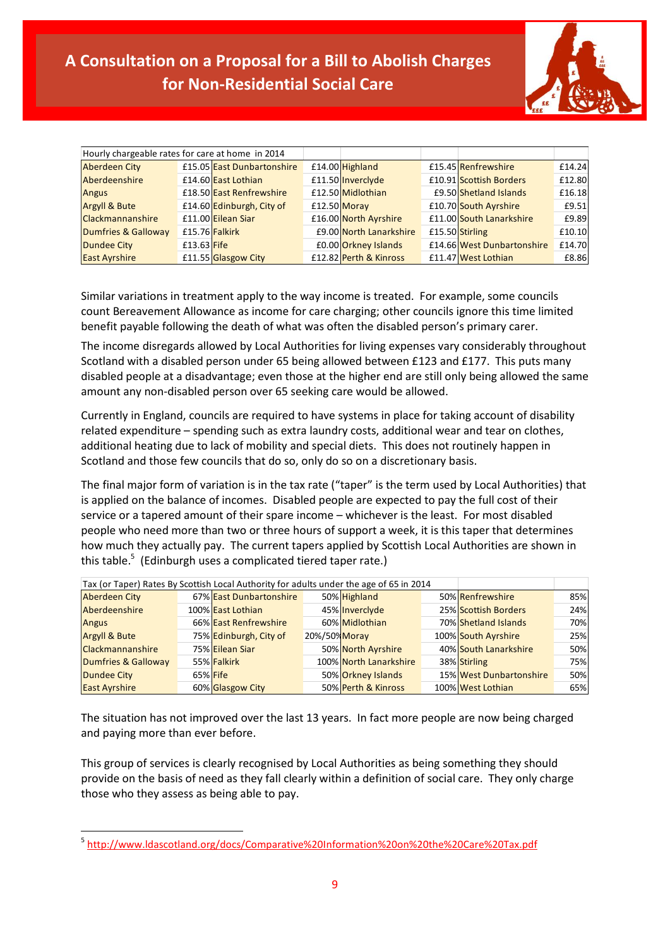

| Hourly chargeable rates for care at home in 2014 |               |                            |                         |                            |        |
|--------------------------------------------------|---------------|----------------------------|-------------------------|----------------------------|--------|
| <b>Aberdeen City</b>                             |               | £15.05 East Dunbartonshire | £14.00 Highland         | £15.45 Renfrewshire        | £14.24 |
| Aberdeenshire                                    |               | £14.60 East Lothian        | £11.50 Inverclyde       | £10.91 Scottish Borders    | £12.80 |
| <b>Angus</b>                                     |               | £18.50 East Renfrewshire   | £12.50 Midlothian       | £9.50 Shetland Islands     | £16.18 |
| <b>Argyll &amp; Bute</b>                         |               | £14.60 Edinburgh, City of  | £12.50 Moray            | £10.70 South Ayrshire      | £9.51  |
| <b>Clackmannanshire</b>                          |               | £11.00 Eilean Siar         | £16.00 North Ayrshire   | £11.00 South Lanarkshire   | £9.89  |
| Dumfries & Galloway                              |               | £15.76 Falkirk             | £9.00 North Lanarkshire | £15.50 Stirling            | £10.10 |
| <b>Dundee City</b>                               | $£13.63$ Fife |                            | £0.00 Orkney Islands    | £14.66 West Dunbartonshire | £14.70 |
| <b>East Ayrshire</b>                             |               | £11.55 Glasgow City        | £12.82 Perth & Kinross  | £11.47 West Lothian        | £8.86  |

Similar variations in treatment apply to the way income is treated. For example, some councils count Bereavement Allowance as income for care charging; other councils ignore this time limited benefit payable following the death of what was often the disabled person's primary carer.

The income disregards allowed by Local Authorities for living expenses vary considerably throughout Scotland with a disabled person under 65 being allowed between £123 and £177. This puts many disabled people at a disadvantage; even those at the higher end are still only being allowed the same amount any non-disabled person over 65 seeking care would be allowed.

Currently in England, councils are required to have systems in place for taking account of disability related expenditure – spending such as extra laundry costs, additional wear and tear on clothes, additional heating due to lack of mobility and special diets. This does not routinely happen in Scotland and those few councils that do so, only do so on a discretionary basis.

The final major form of variation is in the tax rate ("taper" is the term used by Local Authorities) that is applied on the balance of incomes. Disabled people are expected to pay the full cost of their service or a tapered amount of their spare income – whichever is the least. For most disabled people who need more than two or three hours of support a week, it is this taper that determines how much they actually pay. The current tapers applied by Scottish Local Authorities are shown in this table.<sup>5</sup> (Edinburgh uses a complicated tiered taper rate.)

| Tax (or Taper) Rates By Scottish Local Authority for adults under the age of 65 in 2014 |  |                         |               |                        |  |                         |     |
|-----------------------------------------------------------------------------------------|--|-------------------------|---------------|------------------------|--|-------------------------|-----|
| <b>Aberdeen City</b>                                                                    |  | 67% East Dunbartonshire |               | 50% Highland           |  | 50% Renfrewshire        | 85% |
| Aberdeenshire                                                                           |  | 100% East Lothian       |               | 45% Invercivde         |  | 25% Scottish Borders    | 24% |
| <b>Angus</b>                                                                            |  | 66% East Renfrewshire   |               | 60% Midlothian         |  | 70% Shetland Islands    | 70% |
| <b>Argyll &amp; Bute</b>                                                                |  | 75% Edinburgh, City of  | 20%/50% Moray |                        |  | 100% South Ayrshire     | 25% |
| <b>Clackmannanshire</b>                                                                 |  | 75% Eilean Siar         |               | 50% North Ayrshire     |  | 40% South Lanarkshire   | 50% |
| Dumfries & Galloway                                                                     |  | 55% Falkirk             |               | 100% North Lanarkshire |  | 38% Stirling            | 75% |
| <b>Dundee City</b>                                                                      |  | 65% Fife                |               | 50% Orkney Islands     |  | 15% West Dunbartonshire | 50% |
| <b>East Ayrshire</b>                                                                    |  | 60% Glasgow City        |               | 50% Perth & Kinross    |  | 100% West Lothian       | 65% |

The situation has not improved over the last 13 years. In fact more people are now being charged and paying more than ever before.

This group of services is clearly recognised by Local Authorities as being something they should provide on the basis of need as they fall clearly within a definition of social care. They only charge those who they assess as being able to pay.

**.** 

<sup>5</sup> <http://www.ldascotland.org/docs/Comparative%20Information%20on%20the%20Care%20Tax.pdf>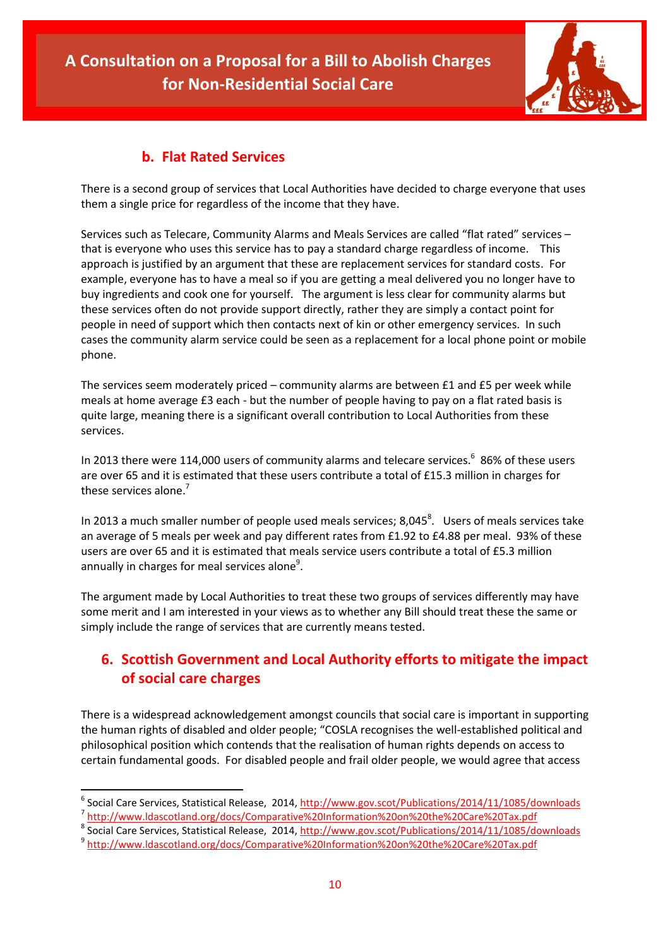

### **b. Flat Rated Services**

There is a second group of services that Local Authorities have decided to charge everyone that uses them a single price for regardless of the income that they have.

Services such as Telecare, Community Alarms and Meals Services are called "flat rated" services – that is everyone who uses this service has to pay a standard charge regardless of income. This approach is justified by an argument that these are replacement services for standard costs. For example, everyone has to have a meal so if you are getting a meal delivered you no longer have to buy ingredients and cook one for yourself. The argument is less clear for community alarms but these services often do not provide support directly, rather they are simply a contact point for people in need of support which then contacts next of kin or other emergency services. In such cases the community alarm service could be seen as a replacement for a local phone point or mobile phone.

The services seem moderately priced – community alarms are between £1 and £5 per week while meals at home average £3 each - but the number of people having to pay on a flat rated basis is quite large, meaning there is a significant overall contribution to Local Authorities from these services.

In 2013 there were 114,000 users of community alarms and telecare services. 6 86% of these users are over 65 and it is estimated that these users contribute a total of £15.3 million in charges for these services alone.<sup>7</sup>

In 2013 a much smaller number of people used meals services; 8,045<sup>8</sup>. Users of meals services take an average of 5 meals per week and pay different rates from £1.92 to £4.88 per meal. 93% of these users are over 65 and it is estimated that meals service users contribute a total of £5.3 million annually in charges for meal services alone<sup>9</sup>.

The argument made by Local Authorities to treat these two groups of services differently may have some merit and I am interested in your views as to whether any Bill should treat these the same or simply include the range of services that are currently means tested.

# **6. Scottish Government and Local Authority efforts to mitigate the impact of social care charges**

There is a widespread acknowledgement amongst councils that social care is important in supporting the human rights of disabled and older people; "COSLA recognises the well-established political and philosophical position which contends that the realisation of human rights depends on access to certain fundamental goods. For disabled people and frail older people, we would agree that access

<sup>&</sup>lt;sup>6</sup> Social Care Services, Statistical Release, 2014,<http://www.gov.scot/Publications/2014/11/1085/downloads> 7 <http://www.ldascotland.org/docs/Comparative%20Information%20on%20the%20Care%20Tax.pdf>

<sup>&</sup>lt;sup>8</sup> Social Care Services, Statistical Release, 2014,<http://www.gov.scot/Publications/2014/11/1085/downloads>

<sup>9</sup> <http://www.ldascotland.org/docs/Comparative%20Information%20on%20the%20Care%20Tax.pdf>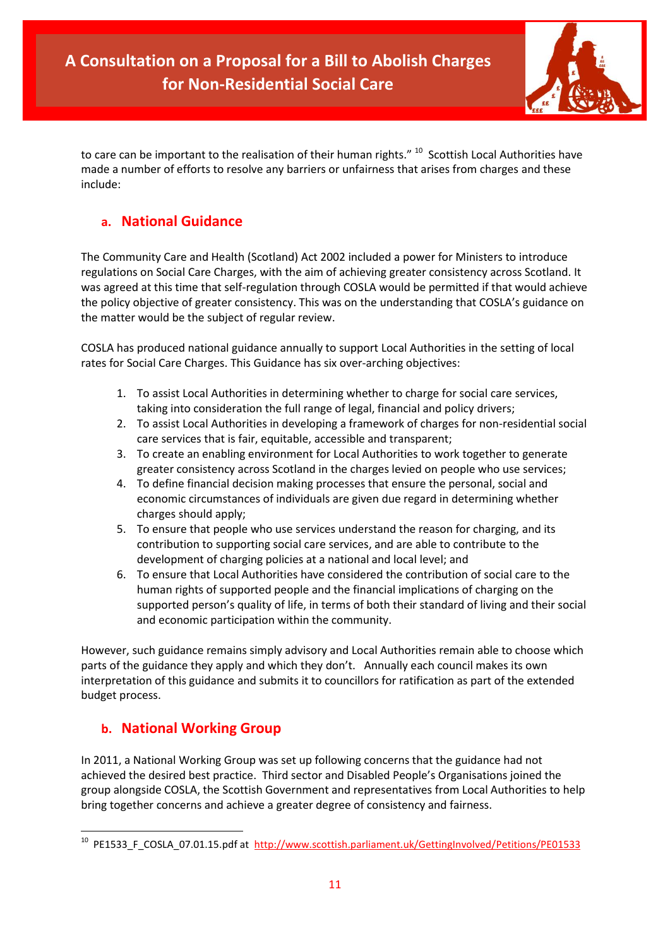

to care can be important to the realisation of their human rights." <sup>10</sup> Scottish Local Authorities have made a number of efforts to resolve any barriers or unfairness that arises from charges and these include:

### **a. National Guidance**

The Community Care and Health (Scotland) Act 2002 included a power for Ministers to introduce regulations on Social Care Charges, with the aim of achieving greater consistency across Scotland. It was agreed at this time that self-regulation through COSLA would be permitted if that would achieve the policy objective of greater consistency. This was on the understanding that COSLA's guidance on the matter would be the subject of regular review.

COSLA has produced national guidance annually to support Local Authorities in the setting of local rates for Social Care Charges. This Guidance has six over-arching objectives:

- 1. To assist Local Authorities in determining whether to charge for social care services, taking into consideration the full range of legal, financial and policy drivers;
- 2. To assist Local Authorities in developing a framework of charges for non-residential social care services that is fair, equitable, accessible and transparent;
- 3. To create an enabling environment for Local Authorities to work together to generate greater consistency across Scotland in the charges levied on people who use services;
- 4. To define financial decision making processes that ensure the personal, social and economic circumstances of individuals are given due regard in determining whether charges should apply;
- 5. To ensure that people who use services understand the reason for charging, and its contribution to supporting social care services, and are able to contribute to the development of charging policies at a national and local level; and
- 6. To ensure that Local Authorities have considered the contribution of social care to the human rights of supported people and the financial implications of charging on the supported person's quality of life, in terms of both their standard of living and their social and economic participation within the community.

However, such guidance remains simply advisory and Local Authorities remain able to choose which parts of the guidance they apply and which they don't. Annually each council makes its own interpretation of this guidance and submits it to councillors for ratification as part of the extended budget process.

### **b. National Working Group**

In 2011, a National Working Group was set up following concerns that the guidance had not achieved the desired best practice. Third sector and Disabled People's Organisations joined the group alongside COSLA, the Scottish Government and representatives from Local Authorities to help bring together concerns and achieve a greater degree of consistency and fairness.

 10 PE1533\_F\_COSLA\_07.01.15.pdf at <http://www.scottish.parliament.uk/GettingInvolved/Petitions/PE01533>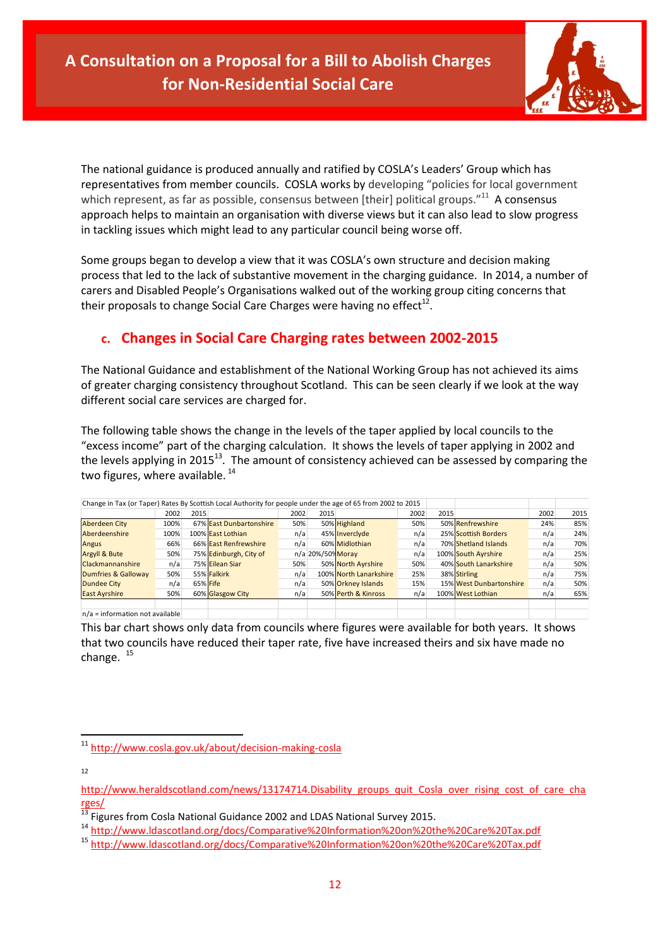

The national guidance is produced annually and ratified by COSLA's Leaders' Group which has representatives from member councils. COSLA works by developing "policies for local government which represent, as far as possible, consensus between [their] political groups."<sup>11</sup> A consensus approach helps to maintain an organisation with diverse views but it can also lead to slow progress in tackling issues which might lead to any particular council being worse off.

Some groups began to develop a view that it was COSLA's own structure and decision making process that led to the lack of substantive movement in the charging guidance. In 2014, a number of carers and Disabled People's Organisations walked out of the working group citing concerns that their proposals to change Social Care Charges were having no effect<sup>12</sup>.

# **c. Changes in Social Care Charging rates between 2002-2015**

The National Guidance and establishment of the National Working Group has not achieved its aims of greater charging consistency throughout Scotland. This can be seen clearly if we look at the way different social care services are charged for.

The following table shows the change in the levels of the taper applied by local councils to the "excess income" part of the charging calculation. It shows the levels of taper applying in 2002 and the levels applying in 2015 $^{13}$ . The amount of consistency achieved can be assessed by comparing the two figures, where available.<sup>14</sup>

| Change in Tax (or Taper) Rates By Scottish Local Authority for people under the age of 65 from 2002 to 2015 |      |          |                         |      |                   |                        |      |      |                         |      |      |
|-------------------------------------------------------------------------------------------------------------|------|----------|-------------------------|------|-------------------|------------------------|------|------|-------------------------|------|------|
|                                                                                                             | 2002 | 2015     |                         | 2002 | 2015              |                        | 2002 | 2015 |                         | 2002 | 2015 |
| <b>Aberdeen City</b>                                                                                        | 100% |          | 67% East Dunbartonshire | 50%  |                   | 50% Highland           | 50%  |      | 50% Renfrewshire        | 24%  | 85%  |
| Aberdeenshire                                                                                               | 100% |          | 100% East Lothian       | n/a  |                   | 45% Inverciyde         | n/a  |      | 25% Scottish Borders    | n/a  | 24%  |
| Angus                                                                                                       | 66%  |          | 66% East Renfrewshire   | n/a  |                   | 60% Midlothian         | n/a  |      | 70% Shetland Islands    | n/a  | 70%  |
| <b>Argyll &amp; Bute</b>                                                                                    | 50%  |          | 75% Edinburgh, City of  |      | n/a 20%/50% Moray |                        | n/a  |      | 100% South Ayrshire     | n/a  | 25%  |
| Clackmannanshire                                                                                            | n/a  |          | 75% Eilean Siar         | 50%  |                   | 50% North Ayrshire     | 50%  |      | 40% South Lanarkshire   | n/a  | 50%  |
| Dumfries & Galloway                                                                                         | 50%  |          | 55% Falkirk             | n/a  |                   | 100% North Lanarkshire | 25%  |      | 38% Stirling            | n/a  | 75%  |
| <b>Dundee City</b>                                                                                          | n/a  | 65% Fife |                         | n/a  |                   | 50% Orkney Islands     | 15%  |      | 15% West Dunbartonshire | n/a  | 50%  |
| <b>East Ayrshire</b>                                                                                        | 50%  |          | 60% Glasgow City        | n/a  |                   | 50% Perth & Kinross    | n/a  |      | 100% West Lothian       | n/a  | 65%  |
|                                                                                                             |      |          |                         |      |                   |                        |      |      |                         |      |      |
| $n/a =$ information not available                                                                           |      |          |                         |      |                   |                        |      |      |                         |      |      |

This bar chart shows only data from councils where figures were available for both years. It shows that two councils have reduced their taper rate, five have increased theirs and six have made no change.<sup>15</sup>

12

**.** 

<sup>11</sup> <http://www.cosla.gov.uk/about/decision-making-cosla>

[http://www.heraldscotland.com/news/13174714.Disability\\_groups\\_quit\\_Cosla\\_over\\_rising\\_cost\\_of\\_care\\_cha](http://www.heraldscotland.com/news/13174714.Disability_groups_quit_Cosla_over_rising_cost_of_care_charges/) [rges/](http://www.heraldscotland.com/news/13174714.Disability_groups_quit_Cosla_over_rising_cost_of_care_charges/)

 $^{13}$  Figures from Cosla National Guidance 2002 and LDAS National Survey 2015.

<sup>14</sup> <http://www.ldascotland.org/docs/Comparative%20Information%20on%20the%20Care%20Tax.pdf>

<sup>15</sup> <http://www.ldascotland.org/docs/Comparative%20Information%20on%20the%20Care%20Tax.pdf>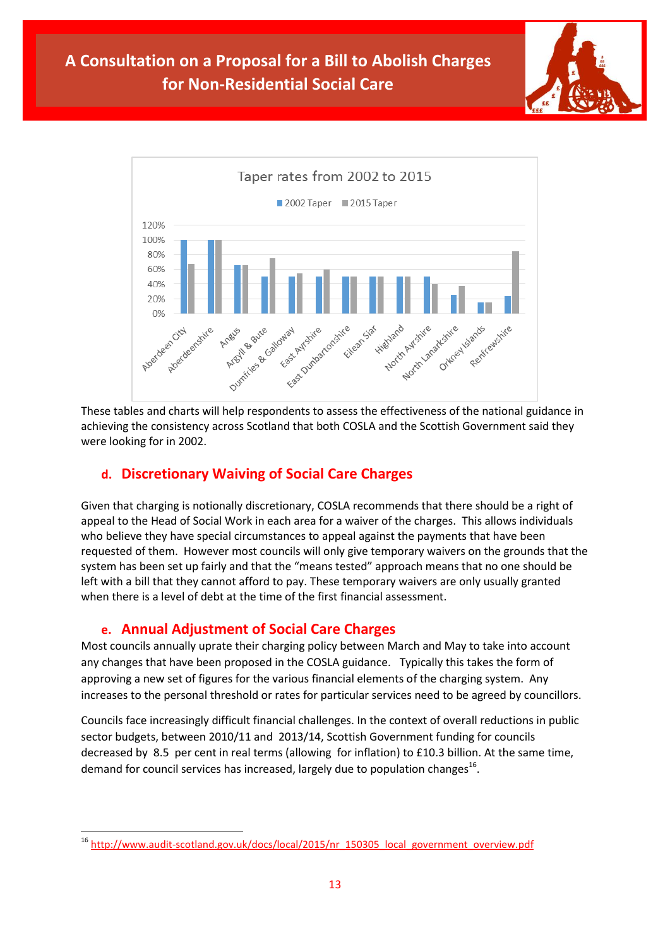



These tables and charts will help respondents to assess the effectiveness of the national guidance in achieving the consistency across Scotland that both COSLA and the Scottish Government said they were looking for in 2002.

### **d. Discretionary Waiving of Social Care Charges**

Given that charging is notionally discretionary, COSLA recommends that there should be a right of appeal to the Head of Social Work in each area for a waiver of the charges. This allows individuals who believe they have special circumstances to appeal against the payments that have been requested of them. However most councils will only give temporary waivers on the grounds that the system has been set up fairly and that the "means tested" approach means that no one should be left with a bill that they cannot afford to pay. These temporary waivers are only usually granted when there is a level of debt at the time of the first financial assessment.

### **e. Annual Adjustment of Social Care Charges**

Most councils annually uprate their charging policy between March and May to take into account any changes that have been proposed in the COSLA guidance. Typically this takes the form of approving a new set of figures for the various financial elements of the charging system. Any increases to the personal threshold or rates for particular services need to be agreed by councillors.

Councils face increasingly difficult financial challenges. In the context of overall reductions in public sector budgets, between 2010/11 and 2013/14, Scottish Government funding for councils decreased by 8.5 per cent in real terms (allowing for inflation) to £10.3 billion. At the same time, demand for council services has increased, largely due to population changes<sup>16</sup>.

**<sup>.</sup>** <sup>16</sup> [http://www.audit-scotland.gov.uk/docs/local/2015/nr\\_150305\\_local\\_government\\_overview.pdf](http://www.audit-scotland.gov.uk/docs/local/2015/nr_150305_local_government_overview.pdf)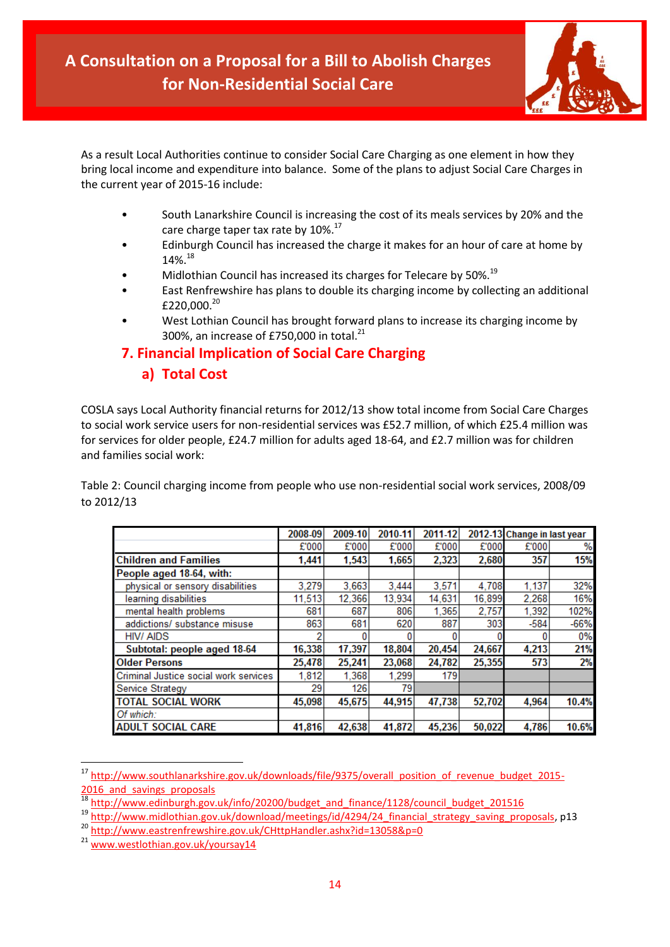

As a result Local Authorities continue to consider Social Care Charging as one element in how they bring local income and expenditure into balance. Some of the plans to adjust Social Care Charges in the current year of 2015-16 include:

- South Lanarkshire Council is increasing the cost of its meals services by 20% and the care charge taper tax rate by 10%.<sup>17</sup>
- Edinburgh Council has increased the charge it makes for an hour of care at home by  $14\%$ <sup>18</sup>
- Midlothian Council has increased its charges for Telecare by 50%.<sup>19</sup>
- East Renfrewshire has plans to double its charging income by collecting an additional £220,000.<sup>20</sup>
- West Lothian Council has brought forward plans to increase its charging income by 300%, an increase of £750,000 in total. $^{21}$

### **7. Financial Implication of Social Care Charging**

### **a) Total Cost**

COSLA says Local Authority financial returns for 2012/13 show total income from Social Care Charges to social work service users for non-residential services was £52.7 million, of which £25.4 million was for services for older people, £24.7 million for adults aged 18-64, and £2.7 million was for children and families social work:

Table 2: Council charging income from people who use non-residential social work services, 2008/09 to 2012/13

|                                       | 2008-09 | 2009-10 | 2010-11 | 2011-12 |        | 2012-13 Change in last year |        |
|---------------------------------------|---------|---------|---------|---------|--------|-----------------------------|--------|
|                                       | £'000   | £'000   | £'000   | £'000   | £'000  | £'000                       | %      |
| <b>Children and Families</b>          | 1.441   | 1.543   | 1.665   | 2.323   | 2.680  | 357                         | 15%    |
| People aged 18-64, with:              |         |         |         |         |        |                             |        |
| physical or sensory disabilities      | 3,279   | 3.663   | 3,444   | 3,571   | 4,708  | 1,137                       | 32%    |
| learning disabilities                 | 11.513  | 12,366  | 13,934  | 14,631  | 16,899 | 2,268                       | 16%    |
| mental health problems                | 681     | 687     | 806     | 1.365   | 2,757  | 1.392                       | 102%   |
| addictions/ substance misuse          | 863     | 681     | 620     | 887     | 303    | $-584$                      | $-66%$ |
| <b>HIV/AIDS</b>                       |         |         |         |         |        |                             | 0%     |
| Subtotal: people aged 18-64           | 16,338  | 17,397  | 18,804  | 20,454  | 24,667 | 4,213                       | 21%    |
| <b>Older Persons</b>                  | 25.478  | 25,241  | 23.068  | 24,782  | 25,355 | 573                         | 2%     |
| Criminal Justice social work services | 1,812   | 1,368   | 1,299   | 179     |        |                             |        |
| <b>Service Strategy</b>               | 29      | 126     | 79      |         |        |                             |        |
| <b>TOTAL SOCIAL WORK</b>              | 45,098  | 45,675  | 44,915  | 47,738  | 52,702 | 4,964                       | 10.4%  |
| Of which:                             |         |         |         |         |        |                             |        |
| <b>ADULT SOCIAL CARE</b>              | 41,816  | 42,638  | 41,872  | 45,236  | 50,022 | 4,786                       | 10.6%  |

<sup>&</sup>lt;sup>17</sup> [http://www.southlanarkshire.gov.uk/downloads/file/9375/overall\\_position\\_of\\_revenue\\_budget\\_2015-](http://www.southlanarkshire.gov.uk/downloads/file/9375/overall_position_of_revenue_budget_2015-2016_and_savings_proposals) 2016 and savings proposals

[http://www.edinburgh.gov.uk/info/20200/budget\\_and\\_finance/1128/council\\_budget\\_201516](http://www.edinburgh.gov.uk/info/20200/budget_and_finance/1128/council_budget_201516)

<sup>19</sup> [http://www.midlothian.gov.uk/download/meetings/id/4294/24\\_financial\\_strategy\\_saving\\_proposals,](http://www.midlothian.gov.uk/download/meetings/id/4294/24_financial_strategy_saving_proposals) p13

<sup>20</sup> <http://www.eastrenfrewshire.gov.uk/CHttpHandler.ashx?id=13058&p=0>

<sup>21</sup> [www.westlothian.gov.uk/yoursay14](http://www.westlothian.gov.uk/yoursay14)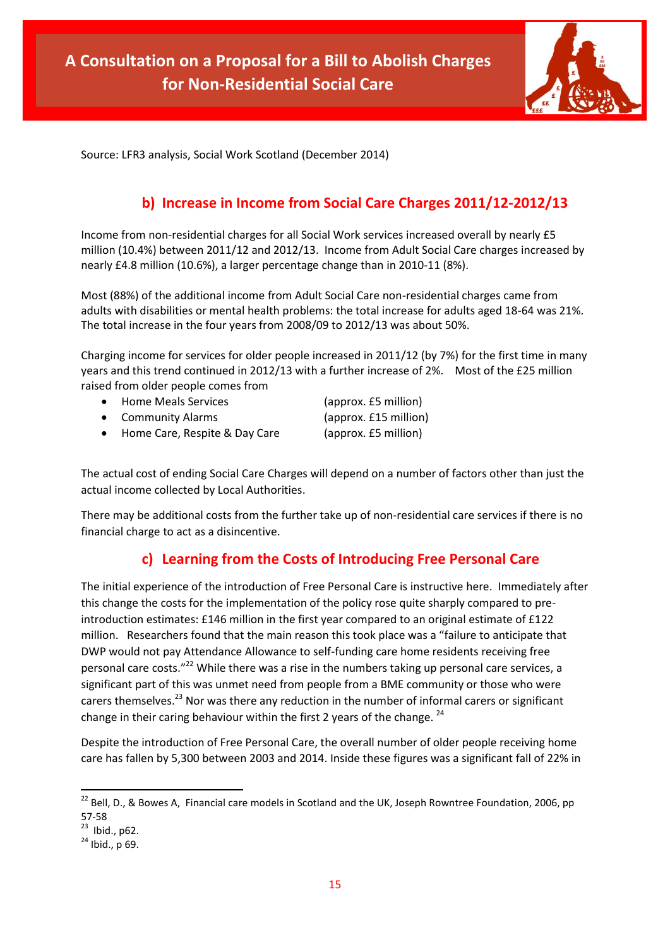

Source: LFR3 analysis, Social Work Scotland (December 2014)

# **b) Increase in Income from Social Care Charges 2011/12-2012/13**

Income from non-residential charges for all Social Work services increased overall by nearly £5 million (10.4%) between 2011/12 and 2012/13. Income from Adult Social Care charges increased by nearly £4.8 million (10.6%), a larger percentage change than in 2010-11 (8%).

Most (88%) of the additional income from Adult Social Care non-residential charges came from adults with disabilities or mental health problems: the total increase for adults aged 18-64 was 21%. The total increase in the four years from 2008/09 to 2012/13 was about 50%.

Charging income for services for older people increased in 2011/12 (by 7%) for the first time in many years and this trend continued in 2012/13 with a further increase of 2%. Most of the £25 million raised from older people comes from

|           | • Home Meals Services         | (approx. £5 million)  |
|-----------|-------------------------------|-----------------------|
|           | • Community Alarms            | (approx. £15 million) |
| $\bullet$ | Home Care, Respite & Day Care | (approx. £5 million)  |

The actual cost of ending Social Care Charges will depend on a number of factors other than just the actual income collected by Local Authorities.

There may be additional costs from the further take up of non-residential care services if there is no financial charge to act as a disincentive.

## **c) Learning from the Costs of Introducing Free Personal Care**

The initial experience of the introduction of Free Personal Care is instructive here. Immediately after this change the costs for the implementation of the policy rose quite sharply compared to preintroduction estimates: £146 million in the first year compared to an original estimate of £122 million. Researchers found that the main reason this took place was a "failure to anticipate that DWP would not pay Attendance Allowance to self-funding care home residents receiving free personal care costs."<sup>22</sup> While there was a rise in the numbers taking up personal care services, a significant part of this was unmet need from people from a BME community or those who were carers themselves.<sup>23</sup> Nor was there any reduction in the number of informal carers or significant change in their caring behaviour within the first 2 years of the change.  $^{24}$ 

Despite the introduction of Free Personal Care, the overall number of older people receiving home care has fallen by 5,300 between 2003 and 2014. Inside these figures was a significant fall of 22% in

 $^{22}$  Bell, D., & Bowes A, Financial care models in Scotland and the UK, Joseph Rowntree Foundation, 2006, pp 57-58

 $23$  Ibid., p62.

<sup>24</sup> Ibid., p 69.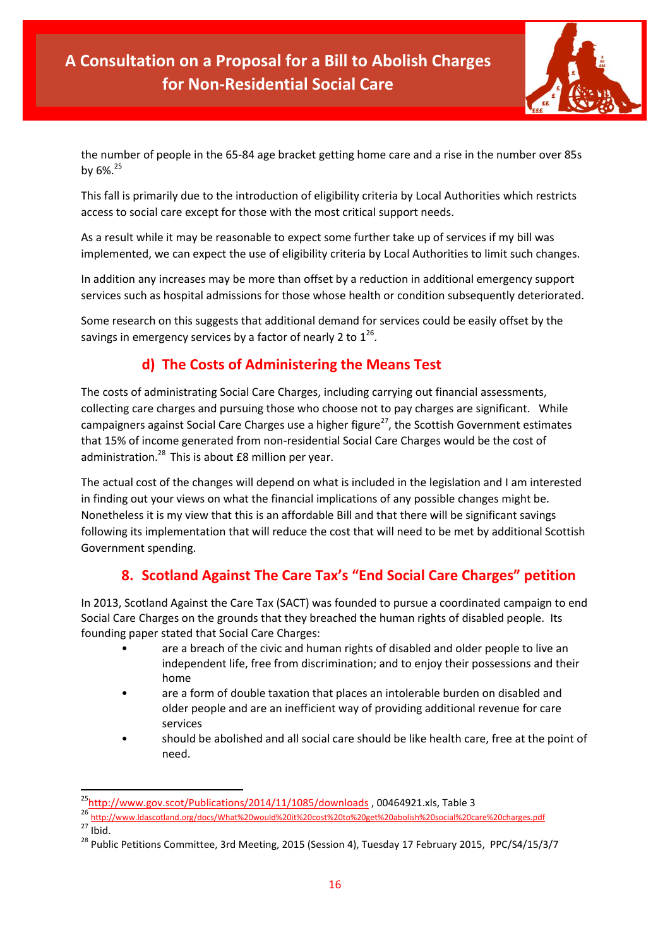

the number of people in the 65-84 age bracket getting home care and a rise in the number over 85s by 6%.<sup>25</sup>

This fall is primarily due to the introduction of eligibility criteria by Local Authorities which restricts access to social care except for those with the most critical support needs.

As a result while it may be reasonable to expect some further take up of services if my bill was implemented, we can expect the use of eligibility criteria by Local Authorities to limit such changes.

In addition any increases may be more than offset by a reduction in additional emergency support services such as hospital admissions for those whose health or condition subsequently deteriorated.

Some research on this suggests that additional demand for services could be easily offset by the savings in emergency services by a factor of nearly 2 to  $1^{26}$ .

# **d) The Costs of Administering the Means Test**

The costs of administrating Social Care Charges, including carrying out financial assessments, collecting care charges and pursuing those who choose not to pay charges are significant. While campaigners against Social Care Charges use a higher figure<sup>27</sup>, the Scottish Government estimates that 15% of income generated from non-residential Social Care Charges would be the cost of administration.<sup>28</sup> This is about £8 million per year.

The actual cost of the changes will depend on what is included in the legislation and I am interested in finding out your views on what the financial implications of any possible changes might be. Nonetheless it is my view that this is an affordable Bill and that there will be significant savings following its implementation that will reduce the cost that will need to be met by additional Scottish Government spending.

## **8. Scotland Against The Care Tax's "End Social Care Charges" petition**

In 2013, Scotland Against the Care Tax (SACT) was founded to pursue a coordinated campaign to end Social Care Charges on the grounds that they breached the human rights of disabled people. Its founding paper stated that Social Care Charges:

- are a breach of the civic and human rights of disabled and older people to live an independent life, free from discrimination; and to enjoy their possessions and their home
- are a form of double taxation that places an intolerable burden on disabled and older people and are an inefficient way of providing additional revenue for care services
- should be abolished and all social care should be like health care, free at the point of need.

<sup>&</sup>lt;sup>25</sup><http://www.gov.scot/Publications/2014/11/1085/downloads> , 00464921.xls, Table 3

<sup>26</sup> <http://www.ldascotland.org/docs/What%20would%20it%20cost%20to%20get%20abolish%20social%20care%20charges.pdf>  $27$  Ibid.

<sup>&</sup>lt;sup>28</sup> Public Petitions Committee, 3rd Meeting, 2015 (Session 4), Tuesday 17 February 2015, PPC/S4/15/3/7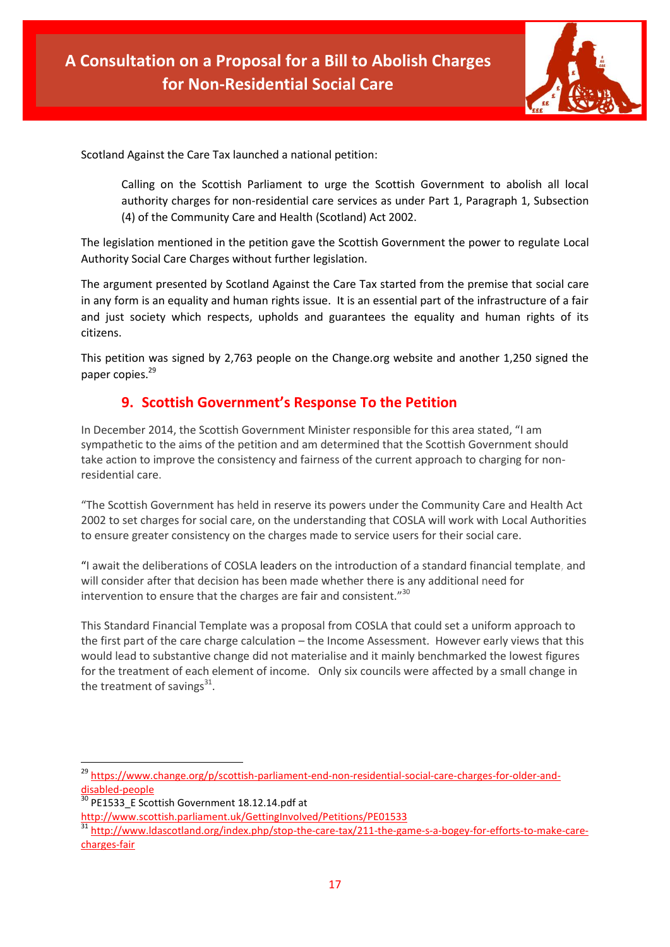

Scotland Against the Care Tax launched a national petition:

Calling on the Scottish Parliament to urge the Scottish Government to abolish all local authority charges for non-residential care services as under Part 1, Paragraph 1, Subsection (4) of the Community Care and Health (Scotland) Act 2002.

The legislation mentioned in the petition gave the Scottish Government the power to regulate Local Authority Social Care Charges without further legislation.

The argument presented by Scotland Against the Care Tax started from the premise that social care in any form is an equality and human rights issue. It is an essential part of the infrastructure of a fair and just society which respects, upholds and guarantees the equality and human rights of its citizens.

This petition was signed by 2,763 people on the Change.org website and another 1,250 signed the paper copies.<sup>29</sup>

### **9. Scottish Government's Response To the Petition**

In December 2014, the Scottish Government Minister responsible for this area stated, "I am sympathetic to the aims of the petition and am determined that the Scottish Government should take action to improve the consistency and fairness of the current approach to charging for nonresidential care.

"The Scottish Government has held in reserve its powers under the Community Care and Health Act 2002 to set charges for social care, on the understanding that COSLA will work with Local Authorities to ensure greater consistency on the charges made to service users for their social care.

"I await the deliberations of COSLA leaders on the introduction of a standard financial template, and will consider after that decision has been made whether there is any additional need for intervention to ensure that the charges are fair and consistent."<sup>30</sup>

This Standard Financial Template was a proposal from COSLA that could set a uniform approach to the first part of the care charge calculation – the Income Assessment. However early views that this would lead to substantive change did not materialise and it mainly benchmarked the lowest figures for the treatment of each element of income. Only six councils were affected by a small change in the treatment of savings $^{31}$ .

<sup>&</sup>lt;sup>29</sup> [https://www.change.org/p/scottish-parliament-end-non-residential-social-care-charges-for-older-and](https://www.change.org/p/scottish-parliament-end-non-residential-social-care-charges-for-older-and-disabled-people)[disabled-people](https://www.change.org/p/scottish-parliament-end-non-residential-social-care-charges-for-older-and-disabled-people)

<sup>&</sup>lt;sup>30</sup> PE1533\_E Scottish Government 18.12.14.pdf at

<http://www.scottish.parliament.uk/GettingInvolved/Petitions/PE01533>

<sup>31</sup> [http://www.ldascotland.org/index.php/stop-the-care-tax/211-the-game-s-a-bogey-for-efforts-to-make-care](http://www.ldascotland.org/index.php/stop-the-care-tax/211-the-game-s-a-bogey-for-efforts-to-make-care-charges-fair)[charges-fair](http://www.ldascotland.org/index.php/stop-the-care-tax/211-the-game-s-a-bogey-for-efforts-to-make-care-charges-fair)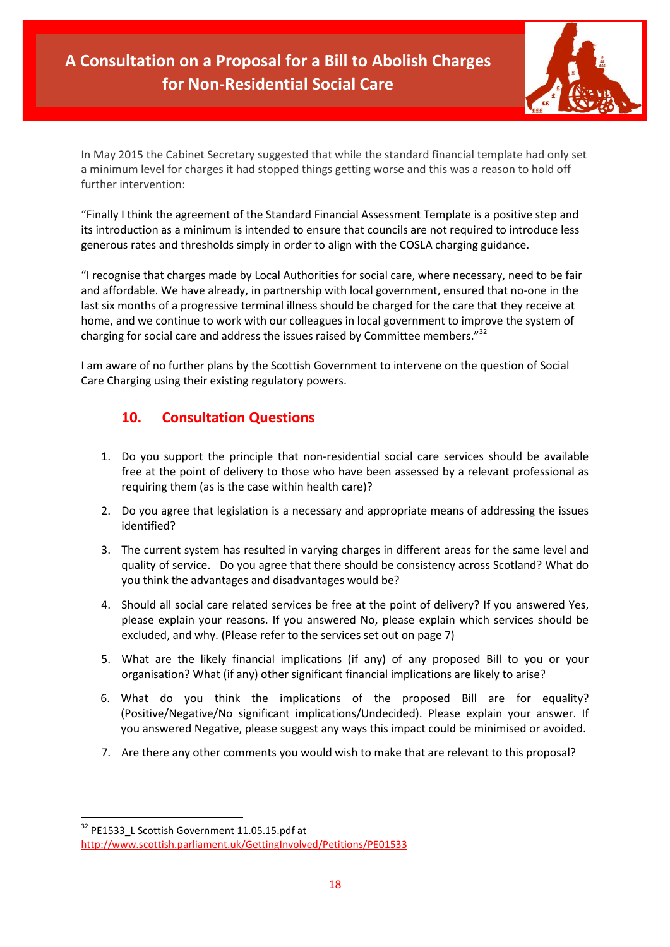

In May 2015 the Cabinet Secretary suggested that while the standard financial template had only set a minimum level for charges it had stopped things getting worse and this was a reason to hold off further intervention:

"Finally I think the agreement of the Standard Financial Assessment Template is a positive step and its introduction as a minimum is intended to ensure that councils are not required to introduce less generous rates and thresholds simply in order to align with the COSLA charging guidance.

"I recognise that charges made by Local Authorities for social care, where necessary, need to be fair and affordable. We have already, in partnership with local government, ensured that no-one in the last six months of a progressive terminal illness should be charged for the care that they receive at home, and we continue to work with our colleagues in local government to improve the system of charging for social care and address the issues raised by Committee members."<sup>32</sup>

I am aware of no further plans by the Scottish Government to intervene on the question of Social Care Charging using their existing regulatory powers.

# **10. Consultation Questions**

- 1. Do you support the principle that non-residential social care services should be available free at the point of delivery to those who have been assessed by a relevant professional as requiring them (as is the case within health care)?
- 2. Do you agree that legislation is a necessary and appropriate means of addressing the issues identified?
- 3. The current system has resulted in varying charges in different areas for the same level and quality of service. Do you agree that there should be consistency across Scotland? What do you think the advantages and disadvantages would be?
- 4. Should all social care related services be free at the point of delivery? If you answered Yes, please explain your reasons. If you answered No, please explain which services should be excluded, and why. (Please refer to the services set out on page 7)
- 5. What are the likely financial implications (if any) of any proposed Bill to you or your organisation? What (if any) other significant financial implications are likely to arise?
- 6. What do you think the implications of the proposed Bill are for equality? (Positive/Negative/No significant implications/Undecided). Please explain your answer. If you answered Negative, please suggest any ways this impact could be minimised or avoided.
- 7. Are there any other comments you would wish to make that are relevant to this proposal?

 $\overline{a}$ <sup>32</sup> PE1533 L Scottish Government 11.05.15.pdf at

<http://www.scottish.parliament.uk/GettingInvolved/Petitions/PE01533>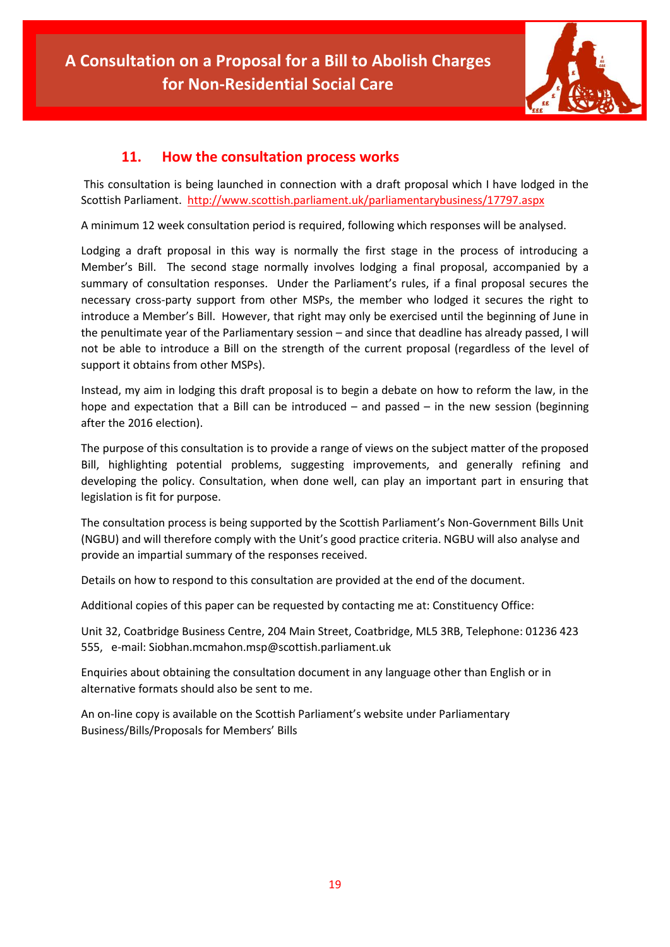

### **11. How the consultation process works**

This consultation is being launched in connection with a draft proposal which I have lodged in the Scottish Parliament.<http://www.scottish.parliament.uk/parliamentarybusiness/17797.aspx>

A minimum 12 week consultation period is required, following which responses will be analysed.

Lodging a draft proposal in this way is normally the first stage in the process of introducing a Member's Bill. The second stage normally involves lodging a final proposal, accompanied by a summary of consultation responses. Under the Parliament's rules, if a final proposal secures the necessary cross-party support from other MSPs, the member who lodged it secures the right to introduce a Member's Bill. However, that right may only be exercised until the beginning of June in the penultimate year of the Parliamentary session – and since that deadline has already passed, I will not be able to introduce a Bill on the strength of the current proposal (regardless of the level of support it obtains from other MSPs).

Instead, my aim in lodging this draft proposal is to begin a debate on how to reform the law, in the hope and expectation that a Bill can be introduced  $-$  and passed  $-$  in the new session (beginning after the 2016 election).

The purpose of this consultation is to provide a range of views on the subject matter of the proposed Bill, highlighting potential problems, suggesting improvements, and generally refining and developing the policy. Consultation, when done well, can play an important part in ensuring that legislation is fit for purpose.

The consultation process is being supported by the Scottish Parliament's Non-Government Bills Unit (NGBU) and will therefore comply with the Unit's good practice criteria. NGBU will also analyse and provide an impartial summary of the responses received.

Details on how to respond to this consultation are provided at the end of the document.

Additional copies of this paper can be requested by contacting me at: Constituency Office:

Unit 32, Coatbridge Business Centre, 204 Main Street, Coatbridge, ML5 3RB, Telephone: 01236 423 555, e-mail: Siobhan.mcmahon.msp@scottish.parliament.uk

Enquiries about obtaining the consultation document in any language other than English or in alternative formats should also be sent to me.

An on-line copy is available on the Scottish Parliament's website under Parliamentary Business/Bills/Proposals for Members' Bills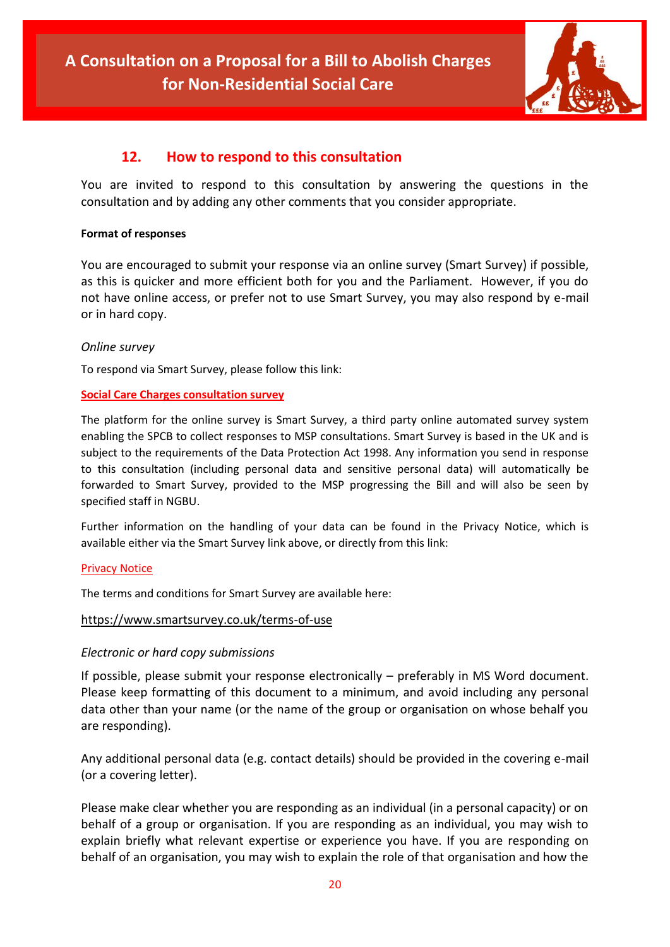

### **12. How to respond to this consultation**

You are invited to respond to this consultation by answering the questions in the consultation and by adding any other comments that you consider appropriate.

#### **Format of responses**

You are encouraged to submit your response via an online survey (Smart Survey) if possible, as this is quicker and more efficient both for you and the Parliament. However, if you do not have online access, or prefer not to use Smart Survey, you may also respond by e-mail or in hard copy.

### *Online survey*

To respond via Smart Survey, please follow this link:

### **[Social Care Charges consultation survey](http://www.smartsurvey.co.uk/s/DSRBY/)**

The platform for the online survey is Smart Survey, a third party online automated survey system enabling the SPCB to collect responses to MSP consultations. Smart Survey is based in the UK and is subject to the requirements of the Data Protection Act 1998. Any information you send in response to this consultation (including personal data and sensitive personal data) will automatically be forwarded to Smart Survey, provided to the MSP progressing the Bill and will also be seen by specified staff in NGBU.

Further information on the handling of your data can be found in the Privacy Notice, which is available either via the Smart Survey link above, or directly from this link:

#### [Privacy Notice](http://www.scottish.parliament.uk/S4_MembersBills/Privacy_Notice_Siobhan_McMahon.pdf)

The terms and conditions for Smart Survey are available here:

#### <https://www.smartsurvey.co.uk/terms-of-use>

### *Electronic or hard copy submissions*

If possible, please submit your response electronically – preferably in MS Word document. Please keep formatting of this document to a minimum, and avoid including any personal data other than your name (or the name of the group or organisation on whose behalf you are responding).

Any additional personal data (e.g. contact details) should be provided in the covering e-mail (or a covering letter).

Please make clear whether you are responding as an individual (in a personal capacity) or on behalf of a group or organisation. If you are responding as an individual, you may wish to explain briefly what relevant expertise or experience you have. If you are responding on behalf of an organisation, you may wish to explain the role of that organisation and how the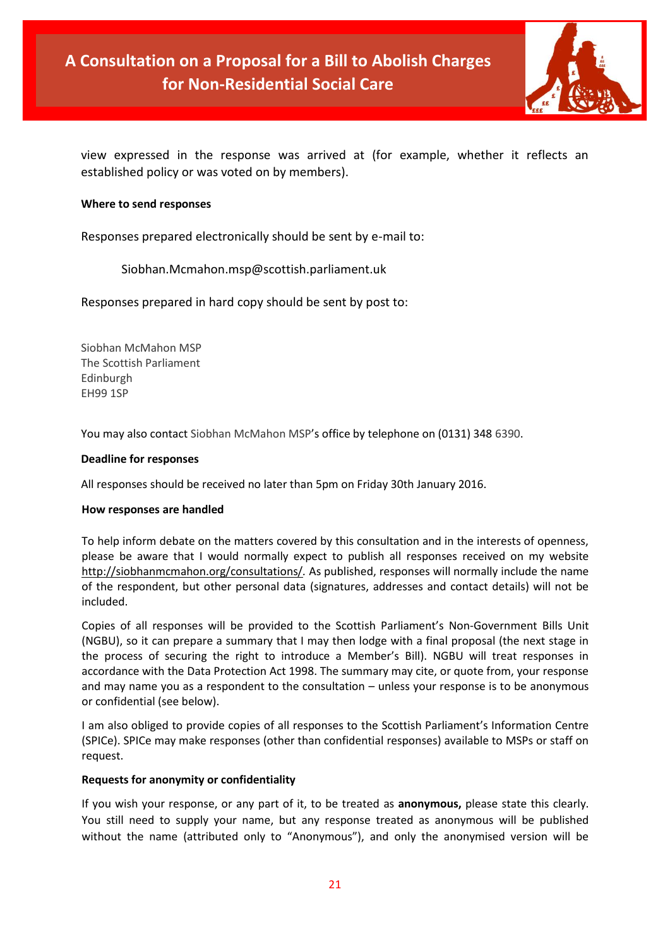

view expressed in the response was arrived at (for example, whether it reflects an established policy or was voted on by members).

#### **Where to send responses**

Responses prepared electronically should be sent by e-mail to:

Siobhan.Mcmahon.msp@scottish.parliament.uk

Responses prepared in hard copy should be sent by post to:

Siobhan McMahon MSP The Scottish Parliament Edinburgh EH99 1SP

You may also contact Siobhan McMahon MSP's office by telephone on (0131) 348 6390.

#### **Deadline for responses**

All responses should be received no later than 5pm on Friday 30th January 2016.

#### **How responses are handled**

To help inform debate on the matters covered by this consultation and in the interests of openness, please be aware that I would normally expect to publish all responses received on my website <http://siobhanmcmahon.org/consultations/>*.* As published, responses will normally include the name of the respondent, but other personal data (signatures, addresses and contact details) will not be included.

Copies of all responses will be provided to the Scottish Parliament's Non-Government Bills Unit (NGBU), so it can prepare a summary that I may then lodge with a final proposal (the next stage in the process of securing the right to introduce a Member's Bill). NGBU will treat responses in accordance with the Data Protection Act 1998. The summary may cite, or quote from, your response and may name you as a respondent to the consultation – unless your response is to be anonymous or confidential (see below).

I am also obliged to provide copies of all responses to the Scottish Parliament's Information Centre (SPICe). SPICe may make responses (other than confidential responses) available to MSPs or staff on request.

#### **Requests for anonymity or confidentiality**

If you wish your response, or any part of it, to be treated as **anonymous,** please state this clearly. You still need to supply your name, but any response treated as anonymous will be published without the name (attributed only to "Anonymous"), and only the anonymised version will be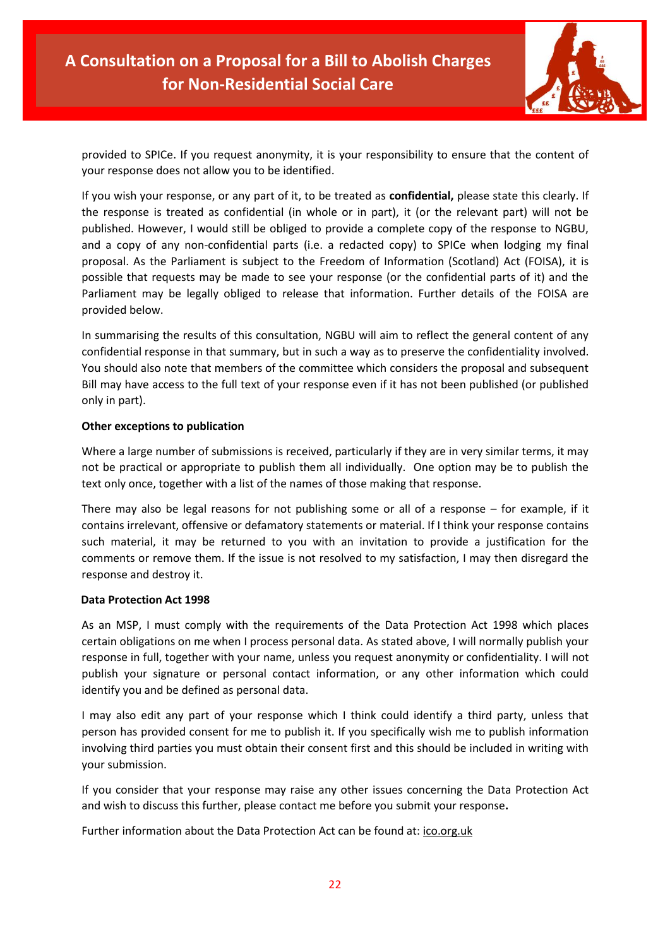

provided to SPICe. If you request anonymity, it is your responsibility to ensure that the content of your response does not allow you to be identified.

If you wish your response, or any part of it, to be treated as **confidential,** please state this clearly. If the response is treated as confidential (in whole or in part), it (or the relevant part) will not be published. However, I would still be obliged to provide a complete copy of the response to NGBU, and a copy of any non-confidential parts (i.e. a redacted copy) to SPICe when lodging my final proposal. As the Parliament is subject to the Freedom of Information (Scotland) Act (FOISA), it is possible that requests may be made to see your response (or the confidential parts of it) and the Parliament may be legally obliged to release that information. Further details of the FOISA are provided below.

In summarising the results of this consultation, NGBU will aim to reflect the general content of any confidential response in that summary, but in such a way as to preserve the confidentiality involved. You should also note that members of the committee which considers the proposal and subsequent Bill may have access to the full text of your response even if it has not been published (or published only in part).

### **Other exceptions to publication**

Where a large number of submissions is received, particularly if they are in very similar terms, it may not be practical or appropriate to publish them all individually. One option may be to publish the text only once, together with a list of the names of those making that response.

There may also be legal reasons for not publishing some or all of a response – for example, if it contains irrelevant, offensive or defamatory statements or material. If I think your response contains such material, it may be returned to you with an invitation to provide a justification for the comments or remove them. If the issue is not resolved to my satisfaction, I may then disregard the response and destroy it.

#### **Data Protection Act 1998**

As an MSP, I must comply with the requirements of the Data Protection Act 1998 which places certain obligations on me when I process personal data. As stated above, I will normally publish your response in full, together with your name, unless you request anonymity or confidentiality. I will not publish your signature or personal contact information, or any other information which could identify you and be defined as personal data.

I may also edit any part of your response which I think could identify a third party, unless that person has provided consent for me to publish it. If you specifically wish me to publish information involving third parties you must obtain their consent first and this should be included in writing with your submission.

If you consider that your response may raise any other issues concerning the Data Protection Act and wish to discuss this further, please contact me before you submit your response**.**

Further information about the Data Protection Act can be found at: [ico.org.uk](https://ico.org.uk/)